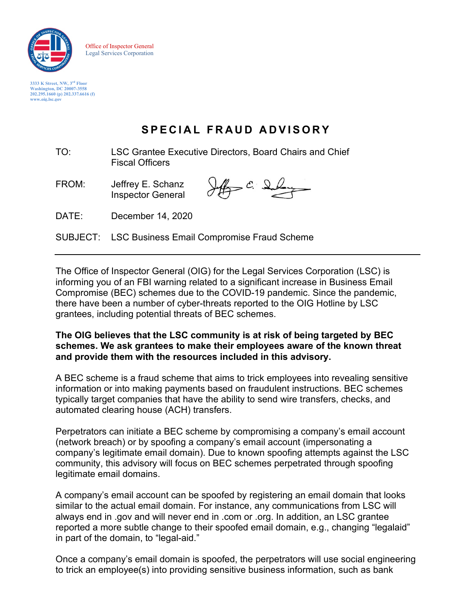

Office of Inspector General Legal Services Corporation

**3333 K Street, NW, 3rd Floor Washington, DC 20007-3558 202.295.1660 (p) 202.337.6616 (f) [www.oig.lsc.gov](http://www.oig.lsc.gov/)**

# **SPECIAL FRAUD A DVISORY**

- TO: LSC Grantee Executive Directors, Board Chairs and Chief Fiscal Officers
- FROM: Jeffrey E. Schanz Inspector General

 $\frac{1}{\sqrt{2}}$   $\frac{c}{c}$   $\frac{c}{c}$ 

DATE: December 14, 2020

SUBJECT: LSC Business Email Compromise Fraud Scheme

The Office of Inspector General (OIG) for the Legal Services Corporation (LSC) is informing you of an FBI warning related to a significant increase in Business Email Compromise (BEC) schemes due to the COVID-19 pandemic. Since the pandemic, there have been a number of cyber-threats reported to the OIG Hotline by LSC grantees, including potential threats of BEC schemes.

### **The OIG believes that the LSC community is at risk of being targeted by BEC schemes. We ask grantees to make their employees aware of the known threat and provide them with the resources included in this advisory.**

A BEC scheme is a fraud scheme that aims to trick employees into revealing sensitive information or into making payments based on fraudulent instructions. BEC schemes typically target companies that have the ability to send wire transfers, checks, and automated clearing house (ACH) transfers.

Perpetrators can initiate a BEC scheme by compromising a company's email account (network breach) or by spoofing a company's email account (impersonating a company's legitimate email domain). Due to known spoofing attempts against the LSC community, this advisory will focus on BEC schemes perpetrated through spoofing legitimate email domains.

A company's email account can be spoofed by registering an email domain that looks similar to the actual email domain. For instance, any communications from LSC will always end in .gov and will never end in .com or .org. In addition, an LSC grantee reported a more subtle change to their spoofed email domain, e.g., changing "legalaid" in part of the domain, to "legal-aid."

Once a company's email domain is spoofed, the perpetrators will use social engineering to trick an employee(s) into providing sensitive business information, such as bank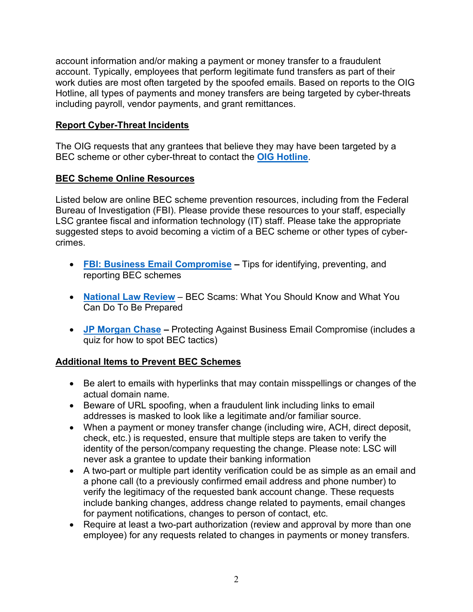account information and/or making a payment or money transfer to a fraudulent account. Typically, employees that perform legitimate fund transfers as part of their work duties are most often targeted by the spoofed emails. Based on reports to the OIG Hotline, all types of payments and money transfers are being targeted by cyber-threats including payroll, vendor payments, and grant remittances.

## **Report Cyber-Threat Incidents**

The OIG requests that any grantees that believe they may have been targeted by a BEC scheme or other cyber-threat to contact the **[OIG Hotline](https://oig.lsc.gov/contact-us/oig-hotline-menu/contact-the-oig-hotline)**.

## **BEC Scheme Online Resources**

Listed below are online BEC scheme prevention resources, including from the Federal Bureau of Investigation (FBI). Please provide these resources to your staff, especially LSC grantee fiscal and information technology (IT) staff. Please take the appropriate suggested steps to avoid becoming a victim of a BEC scheme or other types of cybercrimes.

- **[FBI: Business Email Compromise](https://www.fbi.gov/scams-and-safety/common-scams-and-crimes/business-email-compromise) –** Tips for identifying, preventing, and reporting BEC schemes
- **[National Law Review](https://www.natlawreview.com/article/business-email-compromise-scams-what-you-should-know-and-what-you-can-do-to-be)** BEC Scams: What You Should Know and What You Can Do To Be Prepared
- **[JP Morgan Chase](https://www.jpmorgan.com/insights/technology/protecting-against-business-email-compromise) –** Protecting Against Business Email Compromise (includes a quiz for how to spot BEC tactics)

## **Additional Items to Prevent BEC Schemes**

- Be alert to emails with hyperlinks that may contain misspellings or changes of the actual domain name.
- Beware of URL spoofing, when a fraudulent link including links to email addresses is masked to look like a legitimate and/or familiar source.
- When a payment or money transfer change (including wire, ACH, direct deposit, check, etc.) is requested, ensure that multiple steps are taken to verify the identity of the person/company requesting the change. Please note: LSC will never ask a grantee to update their banking information
- A two-part or multiple part identity verification could be as simple as an email and a phone call (to a previously confirmed email address and phone number) to verify the legitimacy of the requested bank account change. These requests include banking changes, address change related to payments, email changes for payment notifications, changes to person of contact, etc.
- Require at least a two-part authorization (review and approval by more than one employee) for any requests related to changes in payments or money transfers.